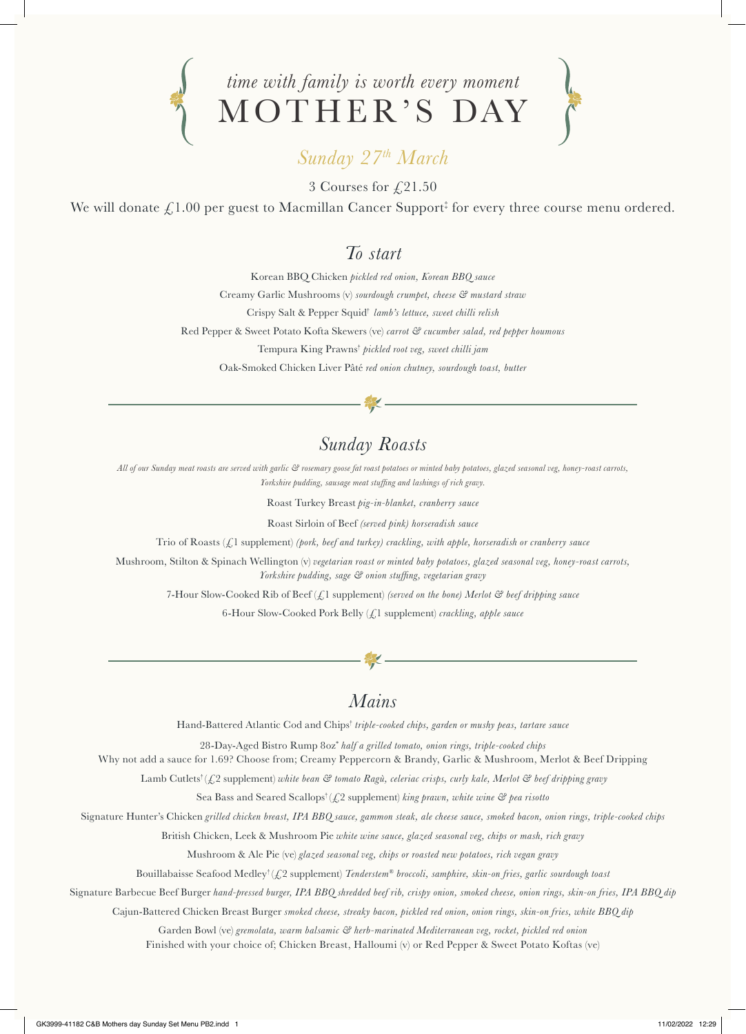

# *Sunday 27th March*

3 Courses for  $\sqrt{21.50}$ 

We will donate  $\pounds 1.00$  per guest to Macmillan Cancer Support‡ for every three course menu ordered.

#### *To start*

Korean BBQ Chicken *pickled red onion, Korean BBQ sauce* Creamy Garlic Mushrooms (v) *sourdough crumpet, cheese & mustard straw* Crispy Salt & Pepper Squid† *lamb's lettuce, sweet chilli relish* Red Pepper & Sweet Potato Kofta Skewers (ve) *carrot & cucumber salad, red pepper houmous* Tempura King Prawns† *pickled root veg, sweet chilli jam* Oak-Smoked Chicken Liver Pâté *red onion chutney, sourdough toast, butter*

## *Sunday Roasts*

*All of our Sunday meat roasts are served with garlic & rosemary goose fat roast potatoes or minted baby potatoes, glazed seasonal veg, honey-roast carrots, Yorkshire pudding, sausage meat stuffing and lashings of rich gravy.*

Roast Turkey Breast *pig-in-blanket, cranberry sauce* 

Roast Sirloin of Beef *(served pink) horseradish sauce*

Trio of Roasts (£1 supplement) *(pork, beef and turkey) crackling, with apple, horseradish or cranberry sauce*

Mushroom, Stilton & Spinach Wellington (v) *vegetarian roast or minted baby potatoes, glazed seasonal veg, honey-roast carrots, Yorkshire pudding, sage & onion stuffing, vegetarian gravy*

7-Hour Slow-Cooked Rib of Beef (£1 supplement) *(served on the bone) Merlot & beef dripping sauce*

6-Hour Slow-Cooked Pork Belly (£1 supplement) *crackling, apple sauce* 

## *Mains*

Hand-Battered Atlantic Cod and Chips† *triple-cooked chips, garden or mushy peas, tartare sauce* 

28-Day-Aged Bistro Rump 8oz\* *half a grilled tomato, onion rings, triple-cooked chips*

Why not add a sauce for 1.69? Choose from; Creamy Peppercorn & Brandy, Garlic & Mushroom, Merlot & Beef Dripping

Lamb Cutlets† (£2 supplement) *white bean & tomato Ragù, celeriac crisps, curly kale, Merlot & beef dripping gravy*

Sea Bass and Seared Scallops† (£2 supplement) *king prawn, white wine & pea risotto*

Signature Hunter's Chicken *grilled chicken breast, IPA BBQ sauce, gammon steak, ale cheese sauce, smoked bacon, onion rings, triple-cooked chips*

British Chicken, Leek & Mushroom Pie *white wine sauce, glazed seasonal veg, chips or mash, rich gravy*

Mushroom & Ale Pie (ve) *glazed seasonal veg, chips or roasted new potatoes, rich vegan gravy*

Bouillabaisse Seafood Medley† (£2 supplement) *Tenderstem® broccoli, samphire, skin-on fries, garlic sourdough toast*

Signature Barbecue Beef Burger *hand-pressed burger, IPA BBQ shredded beef rib, crispy onion, smoked cheese, onion rings, skin-on fries, IPA BBQ dip*

Cajun-Battered Chicken Breast Burger *smoked cheese, streaky bacon, pickled red onion, onion rings, skin-on fries, white BBQ dip*

Garden Bowl (ve) *gremolata, warm balsamic & herb-marinated Mediterranean veg, rocket, pickled red onion*

Finished with your choice of; Chicken Breast, Halloumi (v) or Red Pepper & Sweet Potato Koftas (ve)